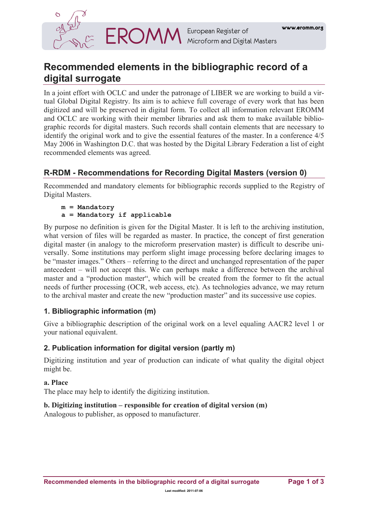

# **Recommended elements in the bibliographic record of a digital surrogate**

In a joint effort with OCLC and under the patronage of LIBER we are working to build a virtual Global Digital Registry. Its aim is to achieve full coverage of every work that has been digitized and will be preserved in digital form. To collect all information relevant EROMM and OCLC are working with their member libraries and ask them to make available bibliographic records for digital masters. Such records shall contain elements that are necessary to identify the original work and to give the essential features of the master. In a conference 4/5 May 2006 in Washington D.C. that was hosted by the Digital Library Federation a list of eight recommended elements was agreed.

# **R-RDM - Recommendations for Recording Digital Masters (version 0)**

Recommended and mandatory elements for bibliographic records supplied to the Registry of Digital Masters.

```
m = Mandatory 
a = Mandatory if applicable
```
By purpose no definition is given for the Digital Master. It is left to the archiving institution, what version of files will be regarded as master. In practice, the concept of first generation digital master (in analogy to the microform preservation master) is difficult to describe universally. Some institutions may perform slight image processing before declaring images to be "master images." Others – referring to the direct and unchanged representation of the paper antecedent – will not accept this. We can perhaps make a difference between the archival master and a "production master", which will be created from the former to fit the actual needs of further processing (OCR, web access, etc). As technologies advance, we may return to the archival master and create the new "production master" and its successive use copies.

# **1. Bibliographic information (m)**

Give a bibliographic description of the original work on a level equaling AACR2 level 1 or your national equivalent.

# **2. Publication information for digital version (partly m)**

Digitizing institution and year of production can indicate of what quality the digital object might be.

## **a. Place**

The place may help to identify the digitizing institution.

# **b. Digitizing institution – responsible for creation of digital version (m)**

Analogous to publisher, as opposed to manufacturer.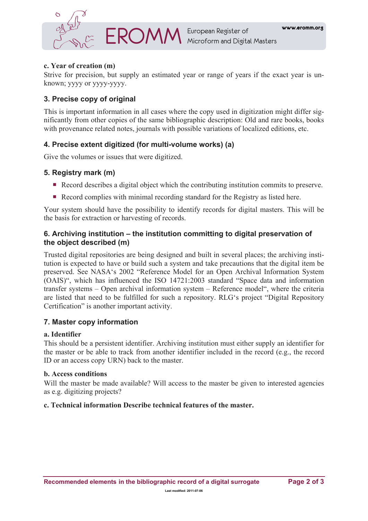

## **c. Year of creation (m)**

Strive for precision, but supply an estimated year or range of years if the exact year is unknown; yyyy or yyyy-yyyy.

# **3. Precise copy of original**

This is important information in all cases where the copy used in digitization might differ significantly from other copies of the same bibliographic description: Old and rare books, books with provenance related notes, journals with possible variations of localized editions, etc.

# **4. Precise extent digitized (for multi-volume works) (a)**

Give the volumes or issues that were digitized.

# **5. Registry mark (m)**

- Record describes a digital object which the contributing institution commits to preserve.
- Record complies with minimal recording standard for the Registry as listed here.

Your system should have the possibility to identify records for digital masters. This will be the basis for extraction or harvesting of records.

## **6. Archiving institution – the institution committing to digital preservation of the object described (m)**

Trusted digital repositories are being designed and built in several places; the archiving institution is expected to have or build such a system and take precautions that the digital item be preserved. See NASA's 2002 "Reference Model for an Open Archival Information System (OAIS)", which has influenced the ISO 14721:2003 standard "Space data and information transfer systems – Open archival information system – Reference model", where the criteria are listed that need to be fulfilled for such a repository. RLG's project "Digital Repository Certification" is another important activity.

## **7. Master copy information**

## **a. Identifier**

This should be a persistent identifier. Archiving institution must either supply an identifier for the master or be able to track from another identifier included in the record (e.g., the record ID or an access copy URN) back to the master.

#### **b. Access conditions**

Will the master be made available? Will access to the master be given to interested agencies as e.g. digitizing projects?

#### **c. Technical information Describe technical features of the master.**